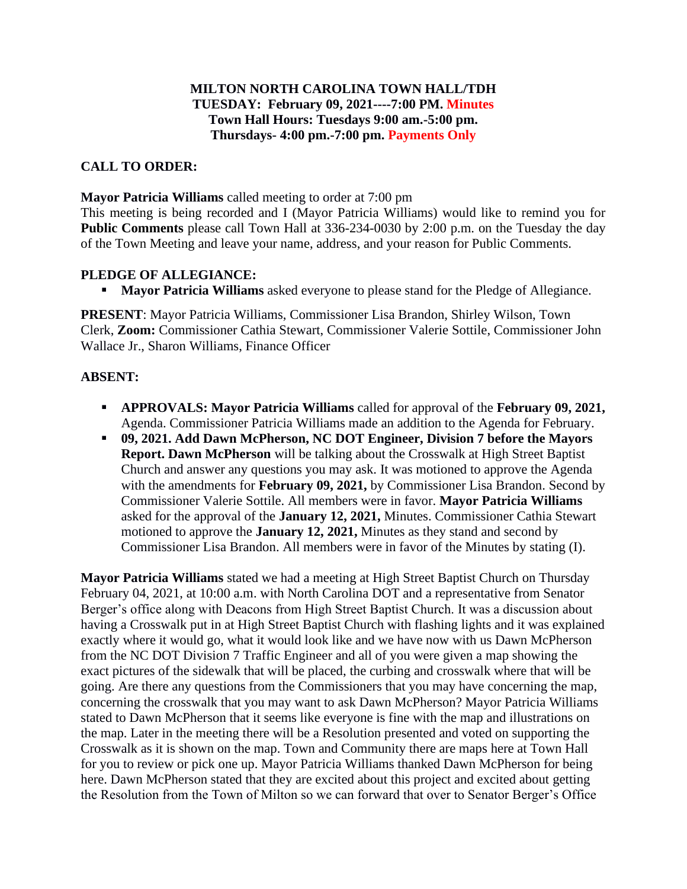## **MILTON NORTH CAROLINA TOWN HALL/TDH TUESDAY: February 09, 2021----7:00 PM. Minutes Town Hall Hours: Tuesdays 9:00 am.-5:00 pm. Thursdays- 4:00 pm.-7:00 pm. Payments Only**

## **CALL TO ORDER:**

**Mayor Patricia Williams** called meeting to order at 7:00 pm

This meeting is being recorded and I (Mayor Patricia Williams) would like to remind you for **Public Comments** please call Town Hall at 336-234-0030 by 2:00 p.m. on the Tuesday the day of the Town Meeting and leave your name, address, and your reason for Public Comments.

### **PLEDGE OF ALLEGIANCE:**

**Mayor Patricia Williams** asked everyone to please stand for the Pledge of Allegiance.

**PRESENT**: Mayor Patricia Williams, Commissioner Lisa Brandon, Shirley Wilson, Town Clerk, **Zoom:** Commissioner Cathia Stewart, Commissioner Valerie Sottile, Commissioner John Wallace Jr., Sharon Williams, Finance Officer

#### **ABSENT:**

- **APPROVALS: Mayor Patricia Williams** called for approval of the **February 09, 2021,**  Agenda. Commissioner Patricia Williams made an addition to the Agenda for February.
- **09, 2021. Add Dawn McPherson, NC DOT Engineer, Division 7 before the Mayors Report. Dawn McPherson** will be talking about the Crosswalk at High Street Baptist Church and answer any questions you may ask. It was motioned to approve the Agenda with the amendments for **February 09, 2021,** by Commissioner Lisa Brandon. Second by Commissioner Valerie Sottile. All members were in favor. **Mayor Patricia Williams** asked for the approval of the **January 12, 2021,** Minutes. Commissioner Cathia Stewart motioned to approve the **January 12, 2021,** Minutes as they stand and second by Commissioner Lisa Brandon. All members were in favor of the Minutes by stating (I).

**Mayor Patricia Williams** stated we had a meeting at High Street Baptist Church on Thursday February 04, 2021, at 10:00 a.m. with North Carolina DOT and a representative from Senator Berger's office along with Deacons from High Street Baptist Church. It was a discussion about having a Crosswalk put in at High Street Baptist Church with flashing lights and it was explained exactly where it would go, what it would look like and we have now with us Dawn McPherson from the NC DOT Division 7 Traffic Engineer and all of you were given a map showing the exact pictures of the sidewalk that will be placed, the curbing and crosswalk where that will be going. Are there any questions from the Commissioners that you may have concerning the map, concerning the crosswalk that you may want to ask Dawn McPherson? Mayor Patricia Williams stated to Dawn McPherson that it seems like everyone is fine with the map and illustrations on the map. Later in the meeting there will be a Resolution presented and voted on supporting the Crosswalk as it is shown on the map. Town and Community there are maps here at Town Hall for you to review or pick one up. Mayor Patricia Williams thanked Dawn McPherson for being here. Dawn McPherson stated that they are excited about this project and excited about getting the Resolution from the Town of Milton so we can forward that over to Senator Berger's Office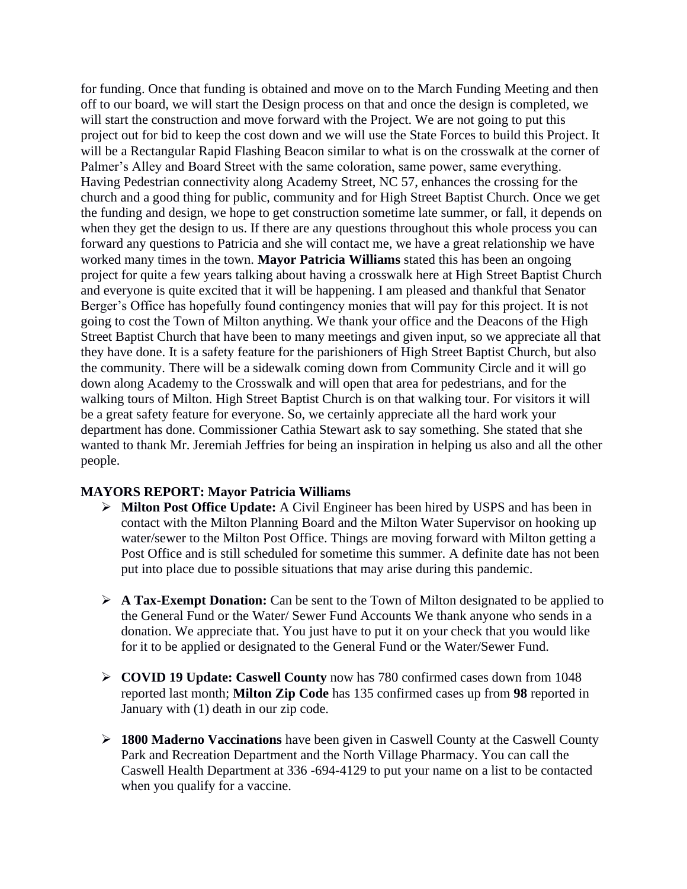for funding. Once that funding is obtained and move on to the March Funding Meeting and then off to our board, we will start the Design process on that and once the design is completed, we will start the construction and move forward with the Project. We are not going to put this project out for bid to keep the cost down and we will use the State Forces to build this Project. It will be a Rectangular Rapid Flashing Beacon similar to what is on the crosswalk at the corner of Palmer's Alley and Board Street with the same coloration, same power, same everything. Having Pedestrian connectivity along Academy Street, NC 57, enhances the crossing for the church and a good thing for public, community and for High Street Baptist Church. Once we get the funding and design, we hope to get construction sometime late summer, or fall, it depends on when they get the design to us. If there are any questions throughout this whole process you can forward any questions to Patricia and she will contact me, we have a great relationship we have worked many times in the town. **Mayor Patricia Williams** stated this has been an ongoing project for quite a few years talking about having a crosswalk here at High Street Baptist Church and everyone is quite excited that it will be happening. I am pleased and thankful that Senator Berger's Office has hopefully found contingency monies that will pay for this project. It is not going to cost the Town of Milton anything. We thank your office and the Deacons of the High Street Baptist Church that have been to many meetings and given input, so we appreciate all that they have done. It is a safety feature for the parishioners of High Street Baptist Church, but also the community. There will be a sidewalk coming down from Community Circle and it will go down along Academy to the Crosswalk and will open that area for pedestrians, and for the walking tours of Milton. High Street Baptist Church is on that walking tour. For visitors it will be a great safety feature for everyone. So, we certainly appreciate all the hard work your department has done. Commissioner Cathia Stewart ask to say something. She stated that she wanted to thank Mr. Jeremiah Jeffries for being an inspiration in helping us also and all the other people.

#### **MAYORS REPORT: Mayor Patricia Williams**

- ➢ **Milton Post Office Update:** A Civil Engineer has been hired by USPS and has been in contact with the Milton Planning Board and the Milton Water Supervisor on hooking up water/sewer to the Milton Post Office. Things are moving forward with Milton getting a Post Office and is still scheduled for sometime this summer. A definite date has not been put into place due to possible situations that may arise during this pandemic.
- ➢ **A Tax-Exempt Donation:** Can be sent to the Town of Milton designated to be applied to the General Fund or the Water/ Sewer Fund Accounts We thank anyone who sends in a donation. We appreciate that. You just have to put it on your check that you would like for it to be applied or designated to the General Fund or the Water/Sewer Fund.
- ➢ **COVID 19 Update: Caswell County** now has 780 confirmed cases down from 1048 reported last month; **Milton Zip Code** has 135 confirmed cases up from **98** reported in January with (1) death in our zip code.
- ➢ **1800 Maderno Vaccinations** have been given in Caswell County at the Caswell County Park and Recreation Department and the North Village Pharmacy. You can call the Caswell Health Department at 336 -694-4129 to put your name on a list to be contacted when you qualify for a vaccine.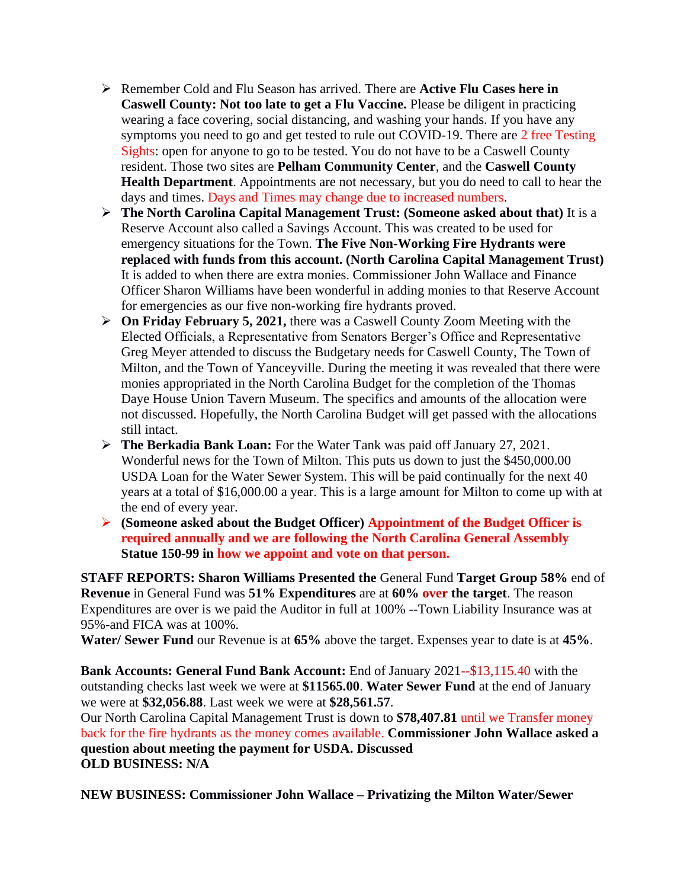- ➢ Remember Cold and Flu Season has arrived. There are **Active Flu Cases here in Caswell County: Not too late to get a Flu Vaccine.** Please be diligent in practicing wearing a face covering, social distancing, and washing your hands. If you have any symptoms you need to go and get tested to rule out COVID-19. There are 2 free Testing Sights: open for anyone to go to be tested. You do not have to be a Caswell County resident. Those two sites are **Pelham Community Center**, and the **Caswell County Health Department**. Appointments are not necessary, but you do need to call to hear the days and times. Days and Times may change due to increased numbers.
- ➢ **The North Carolina Capital Management Trust: (Someone asked about that)** It is a Reserve Account also called a Savings Account. This was created to be used for emergency situations for the Town. **The Five Non-Working Fire Hydrants were replaced with funds from this account. (North Carolina Capital Management Trust)**  It is added to when there are extra monies. Commissioner John Wallace and Finance Officer Sharon Williams have been wonderful in adding monies to that Reserve Account for emergencies as our five non-working fire hydrants proved.
- ➢ **On Friday February 5, 2021,** there was a Caswell County Zoom Meeting with the Elected Officials, a Representative from Senators Berger's Office and Representative Greg Meyer attended to discuss the Budgetary needs for Caswell County, The Town of Milton, and the Town of Yanceyville. During the meeting it was revealed that there were monies appropriated in the North Carolina Budget for the completion of the Thomas Daye House Union Tavern Museum. The specifics and amounts of the allocation were not discussed. Hopefully, the North Carolina Budget will get passed with the allocations still intact.
- ➢ **The Berkadia Bank Loan:** For the Water Tank was paid off January 27, 2021. Wonderful news for the Town of Milton. This puts us down to just the \$450,000.00 USDA Loan for the Water Sewer System. This will be paid continually for the next 40 years at a total of \$16,000.00 a year. This is a large amount for Milton to come up with at the end of every year.
- ➢ **(Someone asked about the Budget Officer) Appointment of the Budget Officer is required annually and we are following the North Carolina General Assembly Statue 150-99 in how we appoint and vote on that person.**

**STAFF REPORTS: Sharon Williams Presented the** General Fund **Target Group 58%** end of **Revenue** in General Fund was **51% Expenditures** are at **60% over the target**. The reason Expenditures are over is we paid the Auditor in full at 100% --Town Liability Insurance was at 95%-and FICA was at 100%.

**Water/ Sewer Fund** our Revenue is at **65%** above the target. Expenses year to date is at **45%**.

**Bank Accounts: General Fund Bank Account:** End of January 2021--\$13,115.40 with the outstanding checks last week we were at **\$11565.00**. **Water Sewer Fund** at the end of January we were at **\$32,056.88**. Last week we were at **\$28,561.57**.

Our North Carolina Capital Management Trust is down to **\$78,407.81** until we Transfer money back for the fire hydrants as the money comes available. **Commissioner John Wallace asked a question about meeting the payment for USDA. Discussed OLD BUSINESS: N/A**

**NEW BUSINESS: Commissioner John Wallace – Privatizing the Milton Water/Sewer**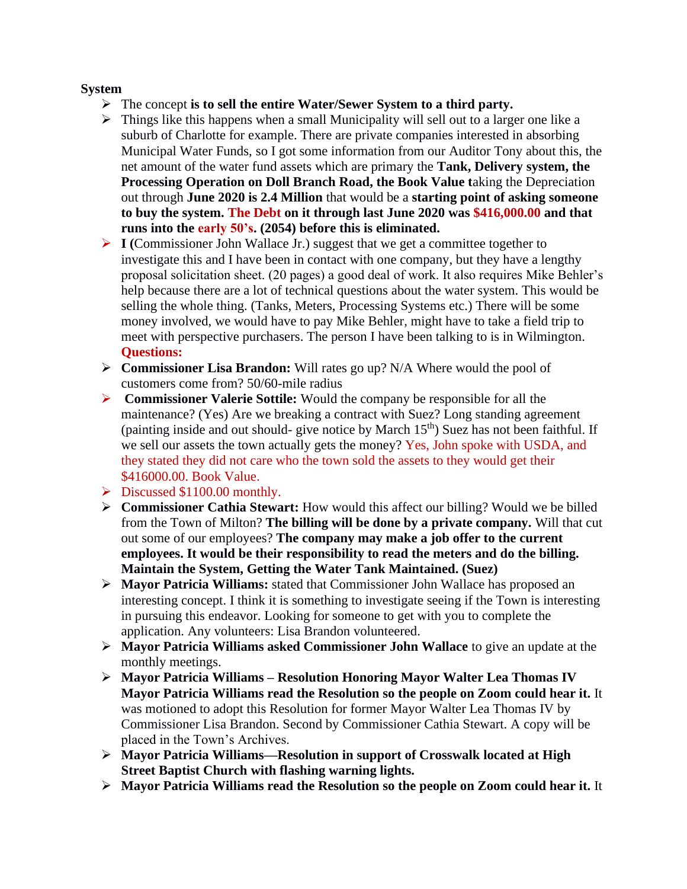### **System**

- ➢ The concept **is to sell the entire Water/Sewer System to a third party.**
- ➢ Things like this happens when a small Municipality will sell out to a larger one like a suburb of Charlotte for example. There are private companies interested in absorbing Municipal Water Funds, so I got some information from our Auditor Tony about this, the net amount of the water fund assets which are primary the **Tank, Delivery system, the Processing Operation on Doll Branch Road, the Book Value t**aking the Depreciation out through **June 2020 is 2.4 Million** that would be a **starting point of asking someone to buy the system. The Debt on it through last June 2020 was \$416,000.00 and that runs into the early 50's. (2054) before this is eliminated.**
- ➢ **I (**Commissioner John Wallace Jr.) suggest that we get a committee together to investigate this and I have been in contact with one company, but they have a lengthy proposal solicitation sheet. (20 pages) a good deal of work. It also requires Mike Behler's help because there are a lot of technical questions about the water system. This would be selling the whole thing. (Tanks, Meters, Processing Systems etc.) There will be some money involved, we would have to pay Mike Behler, might have to take a field trip to meet with perspective purchasers. The person I have been talking to is in Wilmington. **Questions:**
- ➢ **Commissioner Lisa Brandon:** Will rates go up? N/A Where would the pool of customers come from? 50/60-mile radius
- ➢ **Commissioner Valerie Sottile:** Would the company be responsible for all the maintenance? (Yes) Are we breaking a contract with Suez? Long standing agreement (painting inside and out should- give notice by March  $15<sup>th</sup>$ ) Suez has not been faithful. If we sell our assets the town actually gets the money? Yes, John spoke with USDA, and they stated they did not care who the town sold the assets to they would get their \$416000.00. Book Value.
- ➢ Discussed \$1100.00 monthly.
- ➢ **Commissioner Cathia Stewart:** How would this affect our billing? Would we be billed from the Town of Milton? **The billing will be done by a private company.** Will that cut out some of our employees? **The company may make a job offer to the current employees. It would be their responsibility to read the meters and do the billing. Maintain the System, Getting the Water Tank Maintained. (Suez)**
- ➢ **Mayor Patricia Williams:** stated that Commissioner John Wallace has proposed an interesting concept. I think it is something to investigate seeing if the Town is interesting in pursuing this endeavor. Looking for someone to get with you to complete the application. Any volunteers: Lisa Brandon volunteered.
- ➢ **Mayor Patricia Williams asked Commissioner John Wallace** to give an update at the monthly meetings.
- ➢ **Mayor Patricia Williams – Resolution Honoring Mayor Walter Lea Thomas IV Mayor Patricia Williams read the Resolution so the people on Zoom could hear it.** It was motioned to adopt this Resolution for former Mayor Walter Lea Thomas IV by Commissioner Lisa Brandon. Second by Commissioner Cathia Stewart. A copy will be placed in the Town's Archives.
- ➢ **Mayor Patricia Williams—Resolution in support of Crosswalk located at High Street Baptist Church with flashing warning lights.**
- ➢ **Mayor Patricia Williams read the Resolution so the people on Zoom could hear it.** It